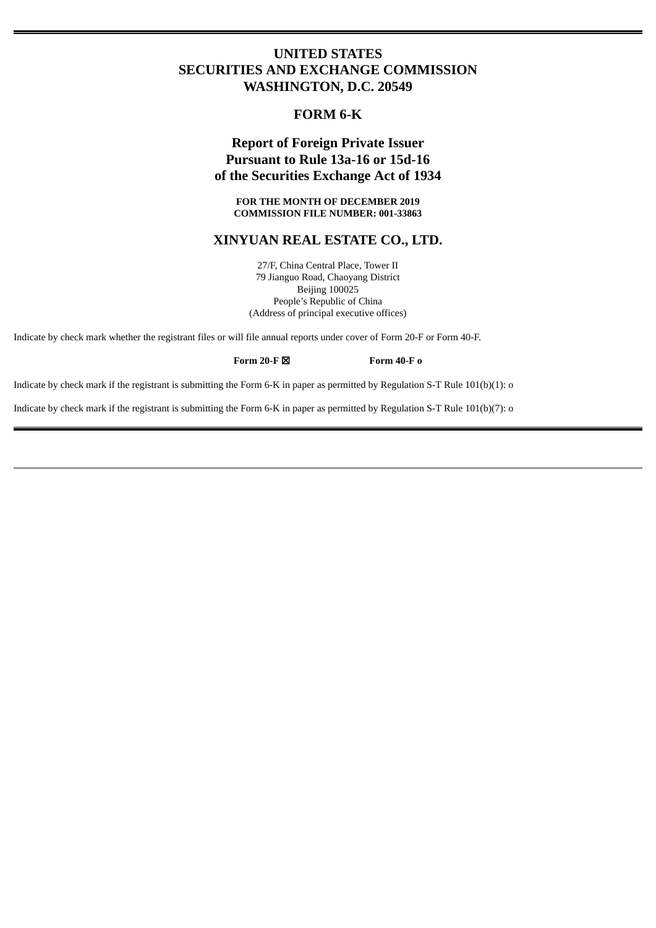## **UNITED STATES SECURITIES AND EXCHANGE COMMISSION WASHINGTON, D.C. 20549**

## **FORM 6-K**

# **Report of Foreign Private Issuer Pursuant to Rule 13a-16 or 15d-16 of the Securities Exchange Act of 1934**

**FOR THE MONTH OF DECEMBER 2019 COMMISSION FILE NUMBER: 001-33863**

### **XINYUAN REAL ESTATE CO., LTD.**

27/F, China Central Place, Tower II 79 Jianguo Road, Chaoyang District Beijing 100025 People's Republic of China (Address of principal executive offices)

Indicate by check mark whether the registrant files or will file annual reports under cover of Form 20-F or Form 40-F.

**Form 20-F** ☒ **Form 40-F o**

Indicate by check mark if the registrant is submitting the Form 6-K in paper as permitted by Regulation S-T Rule 101(b)(1): o

Indicate by check mark if the registrant is submitting the Form 6-K in paper as permitted by Regulation S-T Rule 101(b)(7): o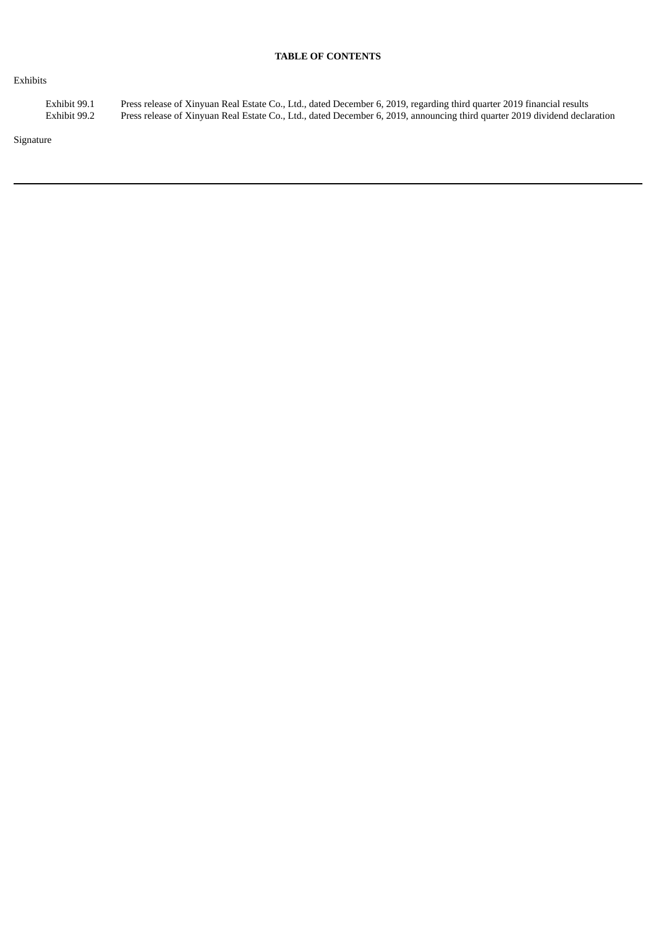### **TABLE OF CONTENTS**

### Exhibits

Exhibit 99.1 Press release of Xinyuan Real Estate Co., Ltd., dated December 6, 2019, regarding third quarter 2019 financial results Exhibit 99.2 Press release of Xinyuan Real Estate Co., Ltd., dated December 6, 2019, announcing third quarter 2019 dividend declaration

Signature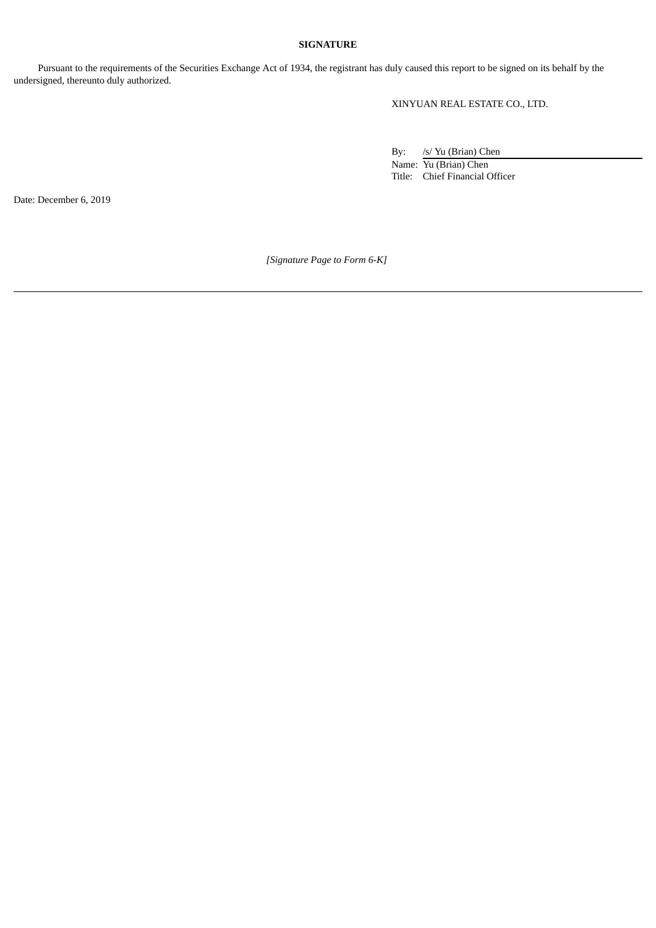### **SIGNATURE**

Pursuant to the requirements of the Securities Exchange Act of 1934, the registrant has duly caused this report to be signed on its behalf by the undersigned, thereunto duly authorized.

XINYUAN REAL ESTATE CO., LTD.

By: /s/ Yu (Brian) Chen Name: Yu (Brian) Chen Title: Chief Financial Officer

Date: December 6, 2019

*[Signature Page to Form 6-K]*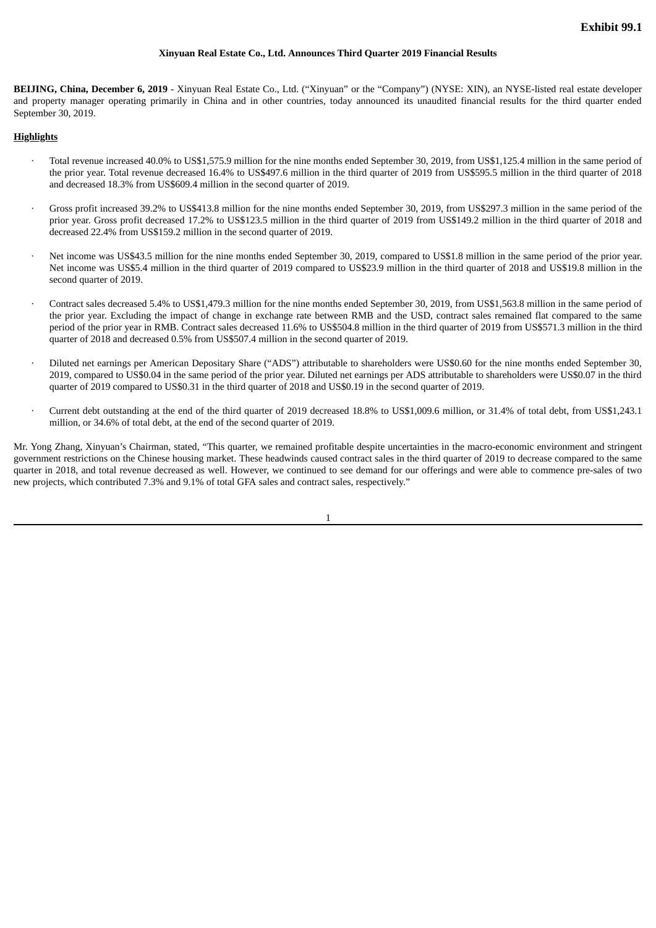### **Xinyuan Real Estate Co., Ltd. Announces Third Quarter 2019 Financial Results**

**BEIJING, China, December 6, 2019** - Xinyuan Real Estate Co., Ltd. ("Xinyuan" or the "Company") (NYSE: XIN), an NYSE-listed real estate developer and property manager operating primarily in China and in other countries, today announced its unaudited financial results for the third quarter ended September 30, 2019.

### **Highlights**

- · Total revenue increased 40.0% to US\$1,575.9 million for the nine months ended September 30, 2019, from US\$1,125.4 million in the same period of the prior year. Total revenue decreased 16.4% to US\$497.6 million in the third quarter of 2019 from US\$595.5 million in the third quarter of 2018 and decreased 18.3% from US\$609.4 million in the second quarter of 2019.
- · Gross profit increased 39.2% to US\$413.8 million for the nine months ended September 30, 2019, from US\$297.3 million in the same period of the prior year. Gross profit decreased 17.2% to US\$123.5 million in the third quarter of 2019 from US\$149.2 million in the third quarter of 2018 and decreased 22.4% from US\$159.2 million in the second quarter of 2019.
- Net income was US\$43.5 million for the nine months ended September 30, 2019, compared to US\$1.8 million in the same period of the prior year. Net income was US\$5.4 million in the third quarter of 2019 compared to US\$23.9 million in the third quarter of 2018 and US\$19.8 million in the second quarter of 2019.
- · Contract sales decreased 5.4% to US\$1,479.3 million for the nine months ended September 30, 2019, from US\$1,563.8 million in the same period of the prior year. Excluding the impact of change in exchange rate between RMB and the USD, contract sales remained flat compared to the same period of the prior year in RMB. Contract sales decreased 11.6% to US\$504.8 million in the third quarter of 2019 from US\$571.3 million in the third quarter of 2018 and decreased 0.5% from US\$507.4 million in the second quarter of 2019.
- · Diluted net earnings per American Depositary Share ("ADS") attributable to shareholders were US\$0.60 for the nine months ended September 30, 2019, compared to US\$0.04 in the same period of the prior year. Diluted net earnings per ADS attributable to shareholders were US\$0.07 in the third quarter of 2019 compared to US\$0.31 in the third quarter of 2018 and US\$0.19 in the second quarter of 2019.
- · Current debt outstanding at the end of the third quarter of 2019 decreased 18.8% to US\$1,009.6 million, or 31.4% of total debt, from US\$1,243.1 million, or 34.6% of total debt, at the end of the second quarter of 2019.

Mr. Yong Zhang, Xinyuan's Chairman, stated, "This quarter, we remained profitable despite uncertainties in the macro-economic environment and stringent government restrictions on the Chinese housing market. These headwinds caused contract sales in the third quarter of 2019 to decrease compared to the same quarter in 2018, and total revenue decreased as well. However, we continued to see demand for our offerings and were able to commence pre-sales of two new projects, which contributed 7.3% and 9.1% of total GFA sales and contract sales, respectively."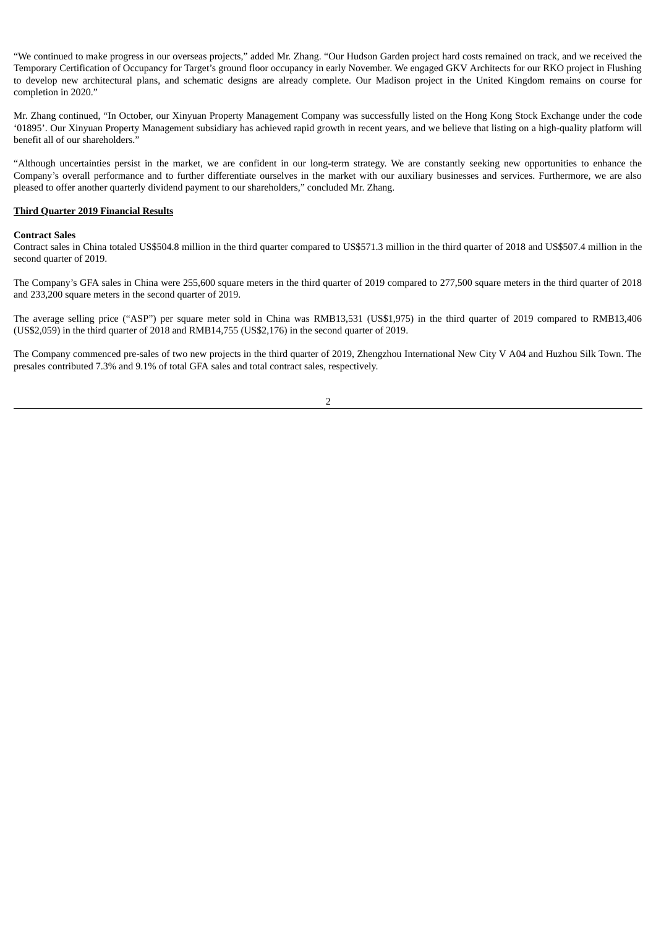"We continued to make progress in our overseas projects," added Mr. Zhang. "Our Hudson Garden project hard costs remained on track, and we received the Temporary Certification of Occupancy for Target's ground floor occupancy in early November. We engaged GKV Architects for our RKO project in Flushing to develop new architectural plans, and schematic designs are already complete. Our Madison project in the United Kingdom remains on course for completion in 2020."

Mr. Zhang continued, "In October, our Xinyuan Property Management Company was successfully listed on the Hong Kong Stock Exchange under the code '01895'. Our Xinyuan Property Management subsidiary has achieved rapid growth in recent years, and we believe that listing on a high-quality platform will benefit all of our shareholders."

"Although uncertainties persist in the market, we are confident in our long-term strategy. We are constantly seeking new opportunities to enhance the Company's overall performance and to further differentiate ourselves in the market with our auxiliary businesses and services. Furthermore, we are also pleased to offer another quarterly dividend payment to our shareholders," concluded Mr. Zhang.

### **Third Quarter 2019 Financial Results**

### **Contract Sales**

Contract sales in China totaled US\$504.8 million in the third quarter compared to US\$571.3 million in the third quarter of 2018 and US\$507.4 million in the second quarter of 2019.

The Company's GFA sales in China were 255,600 square meters in the third quarter of 2019 compared to 277,500 square meters in the third quarter of 2018 and 233,200 square meters in the second quarter of 2019.

The average selling price ("ASP") per square meter sold in China was RMB13,531 (US\$1,975) in the third quarter of 2019 compared to RMB13,406 (US\$2,059) in the third quarter of 2018 and RMB14,755 (US\$2,176) in the second quarter of 2019.

The Company commenced pre-sales of two new projects in the third quarter of 2019, Zhengzhou International New City V A04 and Huzhou Silk Town. The presales contributed 7.3% and 9.1% of total GFA sales and total contract sales, respectively.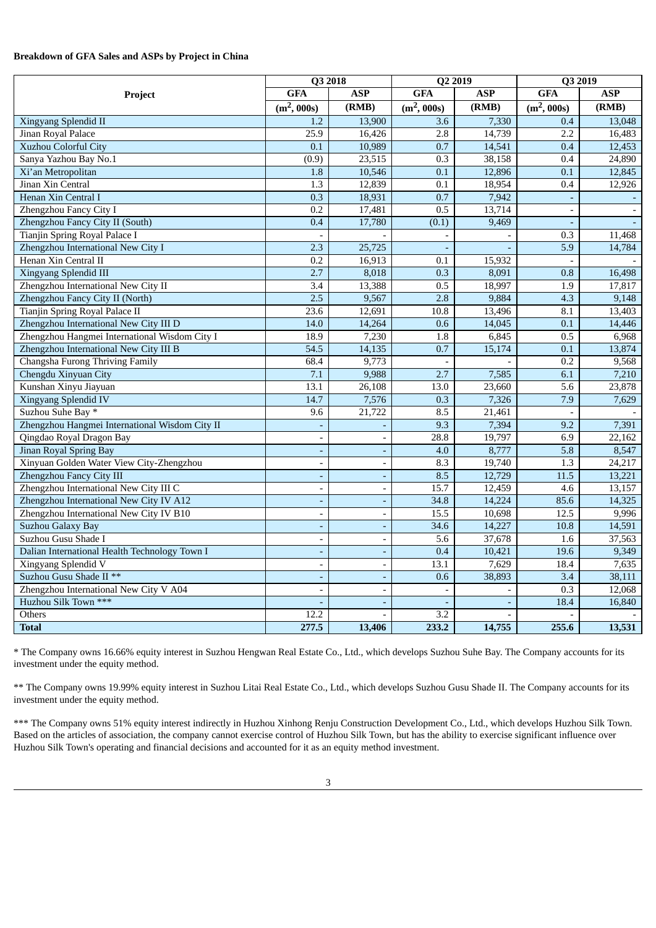### **Breakdown of GFA Sales and ASPs by Project in China**

|                                                | Q3 2018                  |                          | Q2 2019                  |                          | Q3 2019                  |            |
|------------------------------------------------|--------------------------|--------------------------|--------------------------|--------------------------|--------------------------|------------|
| Project                                        | <b>GFA</b>               | <b>ASP</b>               | <b>GFA</b>               | <b>ASP</b>               | <b>GFA</b>               | <b>ASP</b> |
|                                                | $(m^2, 000s)$            | (RMB)                    | $(m^2, 000s)$            | (RMB)                    | $(m^2, 000s)$            | (RMB)      |
| <b>Xingyang Splendid II</b>                    | 1.2                      | 13,900                   | 3.6                      | 7,330                    | 0.4                      | 13,048     |
| Jinan Royal Palace                             | 25.9                     | 16,426                   | 2.8                      | 14,739                   | 2.2                      | 16,483     |
| <b>Xuzhou Colorful City</b>                    | 0.1                      | 10,989                   | $\overline{0.7}$         | 14,541                   | 0.4                      | 12,453     |
| Sanya Yazhou Bay No.1                          | (0.9)                    | 23,515                   | $\overline{0.3}$         | 38,158                   | 0.4                      | 24,890     |
| Xi'an Metropolitan                             | 1.8                      | 10,546                   | 0.1                      | 12,896                   | 0.1                      | 12,845     |
| Jinan Xin Central                              | 1.3                      | 12,839                   | 0.1                      | 18,954                   | 0.4                      | 12,926     |
| Henan Xin Central I                            | 0.3                      | 18,931                   | 0.7                      | 7,942                    | $\blacksquare$           | $\sim$     |
| Zhengzhou Fancy City I                         | 0.2                      | 17,481                   | 0.5                      | 13,714                   | $\overline{\phantom{a}}$ | $\sim$     |
| Zhengzhou Fancy City II (South)                | 0.4                      | 17,780                   | (0.1)                    | 9,469                    |                          |            |
| Tianjin Spring Royal Palace I                  |                          |                          | $\blacksquare$           | $\overline{\phantom{a}}$ | 0.3                      | 11,468     |
| Zhengzhou International New City I             | 2.3                      | 25,725                   | $\overline{\phantom{a}}$ |                          | 5.9                      | 14,784     |
| Henan Xin Central II                           | 0.2                      | 16,913                   | 0.1                      | 15,932                   |                          |            |
| <b>Xingyang Splendid III</b>                   | 2.7                      | 8,018                    | 0.3                      | 8,091                    | 0.8                      | 16,498     |
| Zhengzhou International New City II            | 3.4                      | 13,388                   | 0.5                      | 18,997                   | 1.9                      | 17,817     |
| Zhengzhou Fancy City II (North)                | 2.5                      | 9,567                    | $\overline{2.8}$         | 9,884                    | 4.3                      | 9,148      |
| Tianjin Spring Royal Palace II                 | 23.6                     | 12,691                   | 10.8                     | 13,496                   | 8.1                      | 13,403     |
| Zhengzhou International New City III D         | 14.0                     | 14,264                   | 0.6                      | 14,045                   | 0.1                      | 14,446     |
| Zhengzhou Hangmei International Wisdom City I  | 18.9                     | 7,230                    | 1.8                      | 6,845                    | 0.5                      | 6,968      |
| Zhengzhou International New City III B         | 54.5                     | 14,135                   | 0.7                      | 15,174                   | 0.1                      | 13,874     |
| Changsha Furong Thriving Family                | 68.4                     | 9,773                    |                          |                          | 0.2                      | 9,568      |
| Chengdu Xinyuan City                           | 7.1                      | 9,988                    | 2.7                      | 7,585                    | 6.1                      | 7,210      |
| Kunshan Xinyu Jiayuan                          | 13.1                     | 26.108                   | 13.0                     | 23,660                   | 5.6                      | 23,878     |
| Xingyang Splendid IV                           | 14.7                     | 7,576                    | 0.3                      | 7,326                    | 7.9                      | 7,629      |
| Suzhou Suhe Bay *                              | 9.6                      | 21,722                   | 8.5                      | 21,461                   |                          |            |
| Zhengzhou Hangmei International Wisdom City II |                          |                          | 9.3                      | 7,394                    | 9.2                      | 7,391      |
| Qingdao Royal Dragon Bay                       | $\overline{\phantom{a}}$ | $\overline{\phantom{a}}$ | 28.8                     | 19,797                   | 6.9                      | 22,162     |
| Jinan Royal Spring Bay                         | $\overline{\phantom{a}}$ | $\sim$                   | 4.0                      | 8,777                    | 5.8                      | 8,547      |
| Xinyuan Golden Water View City-Zhengzhou       | $\overline{\phantom{a}}$ | $\overline{\phantom{a}}$ | 8.3                      | 19,740                   | $\overline{1.3}$         | 24,217     |
| Zhengzhou Fancy City III                       | $\overline{\phantom{a}}$ | ÷,                       | 8.5                      | 12,729                   | 11.5                     | 13,221     |
| Zhengzhou International New City III C         | $\overline{\phantom{a}}$ | $\overline{\phantom{a}}$ | 15.7                     | 12,459                   | 4.6                      | 13,157     |
| Zhengzhou International New City IV A12        | $\overline{\phantom{a}}$ | $\blacksquare$           | 34.8                     | 14,224                   | 85.6                     | 14,325     |
| Zhengzhou International New City IV B10        | $\overline{a}$           | $\overline{a}$           | 15.5                     | 10,698                   | 12.5                     | 9,996      |
| <b>Suzhou Galaxy Bay</b>                       | $\overline{\phantom{a}}$ | ٠                        | 34.6                     | 14,227                   | 10.8                     | 14,591     |
| Suzhou Gusu Shade I                            | $\overline{\phantom{a}}$ | $\overline{\phantom{a}}$ | 5.6                      | 37,678                   | 1.6                      | 37,563     |
| Dalian International Health Technology Town I  | $\overline{\phantom{a}}$ | $\blacksquare$           | 0.4                      | 10,421                   | 19.6                     | 9,349      |
| <b>Xingyang Splendid V</b>                     | $\overline{\phantom{a}}$ | $\overline{\phantom{a}}$ | 13.1                     | 7,629                    | 18.4                     | 7,635      |
| Suzhou Gusu Shade II **                        | $\overline{a}$           | $\overline{\phantom{a}}$ | 0.6                      | 38,893                   | 3.4                      | 38,111     |
| Zhengzhou International New City V A04         | $\overline{a}$           | $\overline{\phantom{a}}$ |                          |                          | $\overline{0.3}$         | 12,068     |
| Huzhou Silk Town ***                           |                          | $\blacksquare$           |                          | $\blacksquare$           | 18.4                     | 16,840     |
| Others                                         | 12.2                     |                          | 3.2                      | $\sim$                   |                          |            |
| <b>Total</b>                                   | 277.5                    | 13,406                   | 233.2                    | 14,755                   | 255.6                    | 13,531     |

\* The Company owns 16.66% equity interest in Suzhou Hengwan Real Estate Co., Ltd., which develops Suzhou Suhe Bay. The Company accounts for its investment under the equity method.

\*\* The Company owns 19.99% equity interest in Suzhou Litai Real Estate Co., Ltd., which develops Suzhou Gusu Shade II. The Company accounts for its investment under the equity method.

\*\*\* The Company owns 51% equity interest indirectly in Huzhou Xinhong Renju Construction Development Co., Ltd., which develops Huzhou Silk Town. Based on the articles of association, the company cannot exercise control of Huzhou Silk Town, but has the ability to exercise significant influence over Huzhou Silk Town's operating and financial decisions and accounted for it as an equity method investment.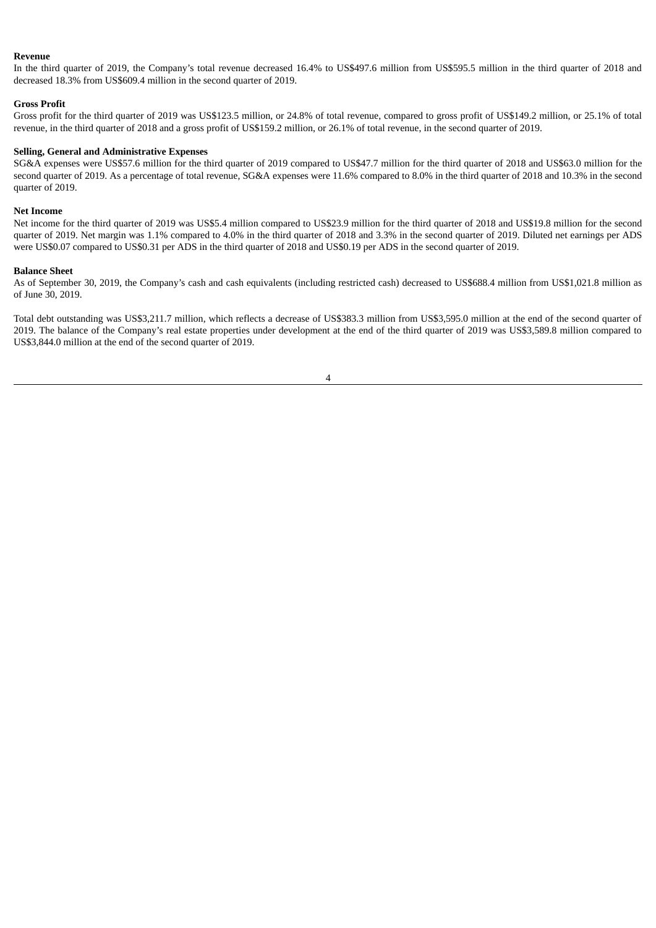#### **Revenue**

In the third quarter of 2019, the Company's total revenue decreased 16.4% to US\$497.6 million from US\$595.5 million in the third quarter of 2018 and decreased 18.3% from US\$609.4 million in the second quarter of 2019.

#### **Gross Profit**

Gross profit for the third quarter of 2019 was US\$123.5 million, or 24.8% of total revenue, compared to gross profit of US\$149.2 million, or 25.1% of total revenue, in the third quarter of 2018 and a gross profit of US\$159.2 million, or 26.1% of total revenue, in the second quarter of 2019.

#### **Selling, General and Administrative Expenses**

SG&A expenses were US\$57.6 million for the third quarter of 2019 compared to US\$47.7 million for the third quarter of 2018 and US\$63.0 million for the second quarter of 2019. As a percentage of total revenue, SG&A expenses were 11.6% compared to 8.0% in the third quarter of 2018 and 10.3% in the second quarter of 2019.

### **Net Income**

Net income for the third quarter of 2019 was US\$5.4 million compared to US\$23.9 million for the third quarter of 2018 and US\$19.8 million for the second quarter of 2019. Net margin was 1.1% compared to 4.0% in the third quarter of 2018 and 3.3% in the second quarter of 2019. Diluted net earnings per ADS were US\$0.07 compared to US\$0.31 per ADS in the third quarter of 2018 and US\$0.19 per ADS in the second quarter of 2019.

#### **Balance Sheet**

As of September 30, 2019, the Company's cash and cash equivalents (including restricted cash) decreased to US\$688.4 million from US\$1,021.8 million as of June 30, 2019.

Total debt outstanding was US\$3,211.7 million, which reflects a decrease of US\$383.3 million from US\$3,595.0 million at the end of the second quarter of 2019. The balance of the Company's real estate properties under development at the end of the third quarter of 2019 was US\$3,589.8 million compared to US\$3,844.0 million at the end of the second quarter of 2019.

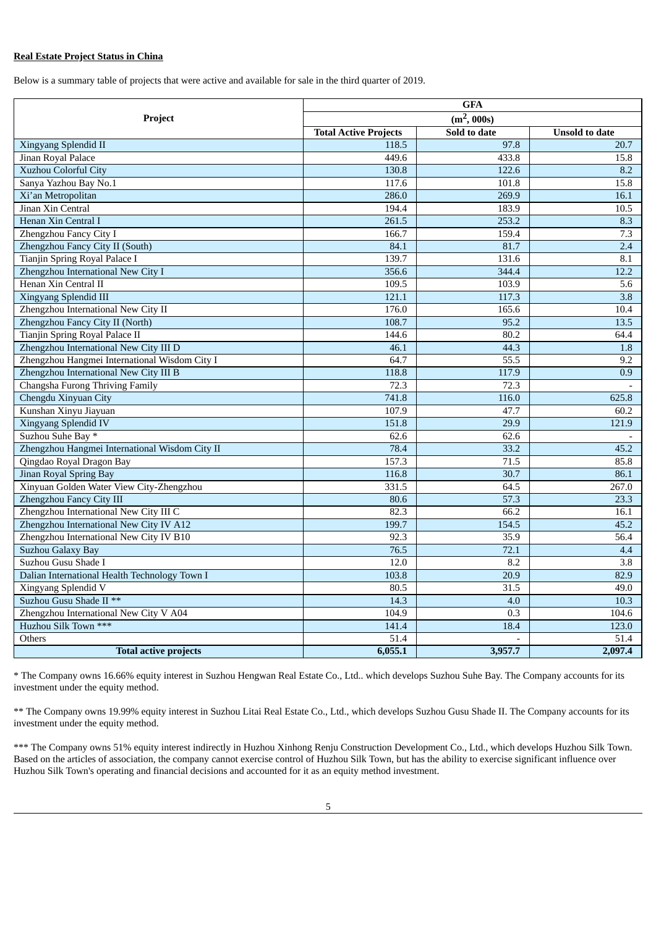### **Real Estate Project Status in China**

Below is a summary table of projects that were active and available for sale in the third quarter of 2019.

|                                                | <b>GFA</b>                   |              |                       |  |
|------------------------------------------------|------------------------------|--------------|-----------------------|--|
| Project                                        | $(m^2, 000s)$                |              |                       |  |
|                                                | <b>Total Active Projects</b> | Sold to date | <b>Unsold to date</b> |  |
| Xingyang Splendid II                           | 118.5                        | 97.8         | 20.7                  |  |
| Jinan Royal Palace                             | 449.6                        | 433.8        | 15.8                  |  |
| <b>Xuzhou Colorful City</b>                    | 130.8                        | 122.6        | 8.2                   |  |
| Sanya Yazhou Bay No.1                          | 117.6                        | 101.8        | 15.8                  |  |
| Xi'an Metropolitan                             | 286.0                        | 269.9        | 16.1                  |  |
| Jinan Xin Central                              | 194.4                        | 183.9        | 10.5                  |  |
| Henan Xin Central I                            | 261.5                        | 253.2        | 8.3                   |  |
| Zhengzhou Fancy City I                         | 166.7                        | 159.4        | 7.3                   |  |
| Zhengzhou Fancy City II (South)                | 84.1                         | 81.7         | 2.4                   |  |
| Tianjin Spring Royal Palace I                  | 139.7                        | 131.6        | 8.1                   |  |
| Zhengzhou International New City I             | 356.6                        | 344.4        | 12.2                  |  |
| Henan Xin Central II                           | 109.5                        | 103.9        | 5.6                   |  |
| Xingyang Splendid III                          | 121.1                        | 117.3        | 3.8                   |  |
| Zhengzhou International New City II            | 176.0                        | 165.6        | 10.4                  |  |
| Zhengzhou Fancy City II (North)                | 108.7                        | 95.2         | 13.5                  |  |
| Tianjin Spring Royal Palace II                 | 144.6                        | 80.2         | 64.4                  |  |
| Zhengzhou International New City III D         | 46.1                         | 44.3         | 1.8                   |  |
| Zhengzhou Hangmei International Wisdom City I  | 64.7                         | 55.5         | 9.2                   |  |
| Zhengzhou International New City III B         | 118.8                        | 117.9        | 0.9                   |  |
| Changsha Furong Thriving Family                | 72.3                         | 72.3         |                       |  |
| Chengdu Xinyuan City                           | 741.8                        | 116.0        | 625.8                 |  |
| Kunshan Xinyu Jiayuan                          | 107.9                        | 47.7         | 60.2                  |  |
| <b>Xingyang Splendid IV</b>                    | 151.8                        | 29.9         | 121.9                 |  |
| Suzhou Suhe Bay *                              | 62.6                         | 62.6         |                       |  |
| Zhengzhou Hangmei International Wisdom City II | 78.4                         | 33.2         | 45.2                  |  |
| Qingdao Royal Dragon Bay                       | 157.3                        | 71.5         | 85.8                  |  |
| <b>Jinan Royal Spring Bay</b>                  | 116.8                        | 30.7         | 86.1                  |  |
| Xinyuan Golden Water View City-Zhengzhou       | 331.5                        | 64.5         | 267.0                 |  |
| Zhengzhou Fancy City III                       | 80.6                         | 57.3         | 23.3                  |  |
| Zhengzhou International New City III C         | 82.3                         | 66.2         | 16.1                  |  |
| Zhengzhou International New City IV A12        | 199.7                        | 154.5        | 45.2                  |  |
| Zhengzhou International New City IV B10        | 92.3                         | 35.9         | 56.4                  |  |
| <b>Suzhou Galaxy Bay</b>                       | 76.5                         | 72.1         | 4.4                   |  |
| Suzhou Gusu Shade I                            | 12.0                         | 8.2          | $\overline{3.8}$      |  |
| Dalian International Health Technology Town I  | 103.8                        | 20.9         | 82.9                  |  |
| Xingyang Splendid V                            | 80.5                         | 31.5         | 49.0                  |  |
| Suzhou Gusu Shade II **                        | 14.3                         | 4.0          | 10.3                  |  |
| Zhengzhou International New City V A04         | 104.9                        | 0.3          | 104.6                 |  |
| Huzhou Silk Town ***                           | 141.4                        | 18.4         | 123.0                 |  |
| Others                                         | 51.4                         |              | 51.4                  |  |
| <b>Total active projects</b>                   | 6,055.1                      | 3,957.7      | 2.097.4               |  |

\* The Company owns 16.66% equity interest in Suzhou Hengwan Real Estate Co., Ltd.. which develops Suzhou Suhe Bay. The Company accounts for its investment under the equity method.

\*\* The Company owns 19.99% equity interest in Suzhou Litai Real Estate Co., Ltd., which develops Suzhou Gusu Shade II. The Company accounts for its investment under the equity method.

\*\*\* The Company owns 51% equity interest indirectly in Huzhou Xinhong Renju Construction Development Co., Ltd., which develops Huzhou Silk Town. Based on the articles of association, the company cannot exercise control of Huzhou Silk Town, but has the ability to exercise significant influence over Huzhou Silk Town's operating and financial decisions and accounted for it as an equity method investment.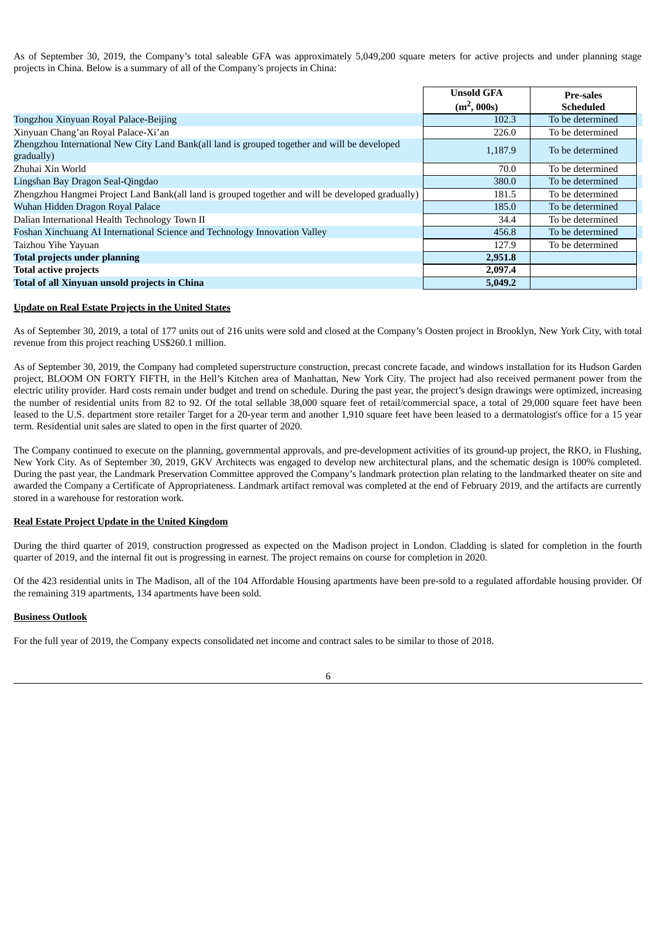As of September 30, 2019, the Company's total saleable GFA was approximately 5,049,200 square meters for active projects and under planning stage projects in China. Below is a summary of all of the Company's projects in China:

|                                                                                                             | <b>Unsold GFA</b> | <b>Pre-sales</b> |
|-------------------------------------------------------------------------------------------------------------|-------------------|------------------|
|                                                                                                             | $(m^2, 000s)$     | <b>Scheduled</b> |
| Tongzhou Xinyuan Royal Palace-Beijing                                                                       | 102.3             | To be determined |
| Xinyuan Chang'an Royal Palace-Xi'an                                                                         | 226.0             | To be determined |
| Zhengzhou International New City Land Bank(all land is grouped together and will be developed<br>gradually) | 1,187.9           | To be determined |
| Zhuhai Xin World                                                                                            | 70.0              | To be determined |
| Lingshan Bay Dragon Seal-Qingdao                                                                            | 380.0             | To be determined |
| Zhengzhou Hangmei Project Land Bank(all land is grouped together and will be developed gradually)           | 181.5             | To be determined |
| Wuhan Hidden Dragon Royal Palace                                                                            | 185.0             | To be determined |
| Dalian International Health Technology Town II                                                              | 34.4              | To be determined |
| Foshan Xinchuang AI International Science and Technology Innovation Valley                                  | 456.8             | To be determined |
| Taizhou Yihe Yayuan                                                                                         | 127.9             | To be determined |
| <b>Total projects under planning</b>                                                                        | 2,951.8           |                  |
| <b>Total active projects</b>                                                                                | 2,097.4           |                  |
| Total of all Xinyuan unsold projects in China                                                               | 5,049.2           |                  |

### **Update on Real Estate Projects in the United States**

As of September 30, 2019, a total of 177 units out of 216 units were sold and closed at the Company's Oosten project in Brooklyn, New York City, with total revenue from this project reaching US\$260.1 million.

As of September 30, 2019, the Company had completed superstructure construction, precast concrete facade, and windows installation for its Hudson Garden project, BLOOM ON FORTY FIFTH, in the Hell's Kitchen area of Manhattan, New York City. The project had also received permanent power from the electric utility provider. Hard costs remain under budget and trend on schedule. During the past year, the project's design drawings were optimized, increasing the number of residential units from 82 to 92. Of the total sellable 38,000 square feet of retail/commercial space, a total of 29,000 square feet have been leased to the U.S. department store retailer Target for a 20-year term and another 1,910 square feet have been leased to a dermatologist's office for a 15 year term. Residential unit sales are slated to open in the first quarter of 2020.

The Company continued to execute on the planning, governmental approvals, and pre-development activities of its ground-up project, the RKO, in Flushing, New York City. As of September 30, 2019, GKV Architects was engaged to develop new architectural plans, and the schematic design is 100% completed. During the past year, the Landmark Preservation Committee approved the Company's landmark protection plan relating to the landmarked theater on site and awarded the Company a Certificate of Appropriateness. Landmark artifact removal was completed at the end of February 2019, and the artifacts are currently stored in a warehouse for restoration work.

### **Real Estate Project Update in the United Kingdom**

During the third quarter of 2019, construction progressed as expected on the Madison project in London. Cladding is slated for completion in the fourth quarter of 2019, and the internal fit out is progressing in earnest. The project remains on course for completion in 2020.

Of the 423 residential units in The Madison, all of the 104 Affordable Housing apartments have been pre-sold to a regulated affordable housing provider. Of the remaining 319 apartments, 134 apartments have been sold.

### **Business Outlook**

For the full year of 2019, the Company expects consolidated net income and contract sales to be similar to those of 2018.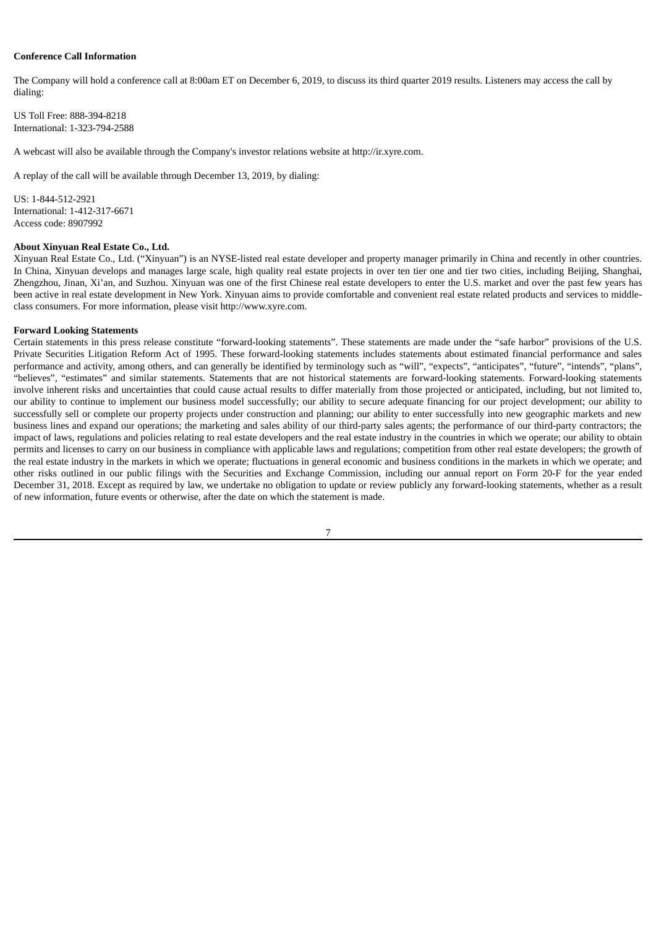#### **Conference Call Information**

The Company will hold a conference call at 8:00am ET on December 6, 2019, to discuss its third quarter 2019 results. Listeners may access the call by dialing:

US Toll Free: 888-394-8218 International: 1-323-794-2588

A webcast will also be available through the Company's investor relations website at http://ir.xyre.com.

A replay of the call will be available through December 13, 2019, by dialing:

 $US: 1 - 844 - 512 - 2921$ International: 1-412-317-6671 Access code: 8907992

#### **About Xinyuan Real Estate Co., Ltd.**

Xinyuan Real Estate Co., Ltd. ("Xinyuan") is an NYSE-listed real estate developer and property manager primarily in China and recently in other countries. In China, Xinyuan develops and manages large scale, high quality real estate projects in over ten tier one and tier two cities, including Beijing, Shanghai, Zhengzhou, Jinan, Xi'an, and Suzhou. Xinyuan was one of the first Chinese real estate developers to enter the U.S. market and over the past few years has been active in real estate development in New York. Xinyuan aims to provide comfortable and convenient real estate related products and services to middleclass consumers. For more information, please visit http://www.xyre.com.

#### **Forward Looking Statements**

Certain statements in this press release constitute "forward-looking statements". These statements are made under the "safe harbor" provisions of the U.S. Private Securities Litigation Reform Act of 1995. These forward-looking statements includes statements about estimated financial performance and sales performance and activity, among others, and can generally be identified by terminology such as "will", "expects", "anticipates", "future", "intends", "plans", "believes", "estimates" and similar statements. Statements that are not historical statements are forward-looking statements. Forward-looking statements involve inherent risks and uncertainties that could cause actual results to differ materially from those projected or anticipated, including, but not limited to, our ability to continue to implement our business model successfully; our ability to secure adequate financing for our project development; our ability to successfully sell or complete our property projects under construction and planning; our ability to enter successfully into new geographic markets and new business lines and expand our operations; the marketing and sales ability of our third-party sales agents; the performance of our third-party contractors; the impact of laws, regulations and policies relating to real estate developers and the real estate industry in the countries in which we operate; our ability to obtain permits and licenses to carry on our business in compliance with applicable laws and regulations; competition from other real estate developers; the growth of the real estate industry in the markets in which we operate; fluctuations in general economic and business conditions in the markets in which we operate; and other risks outlined in our public filings with the Securities and Exchange Commission, including our annual report on Form 20-F for the year ended December 31, 2018. Except as required by law, we undertake no obligation to update or review publicly any forward-looking statements, whether as a result of new information, future events or otherwise, after the date on which the statement is made.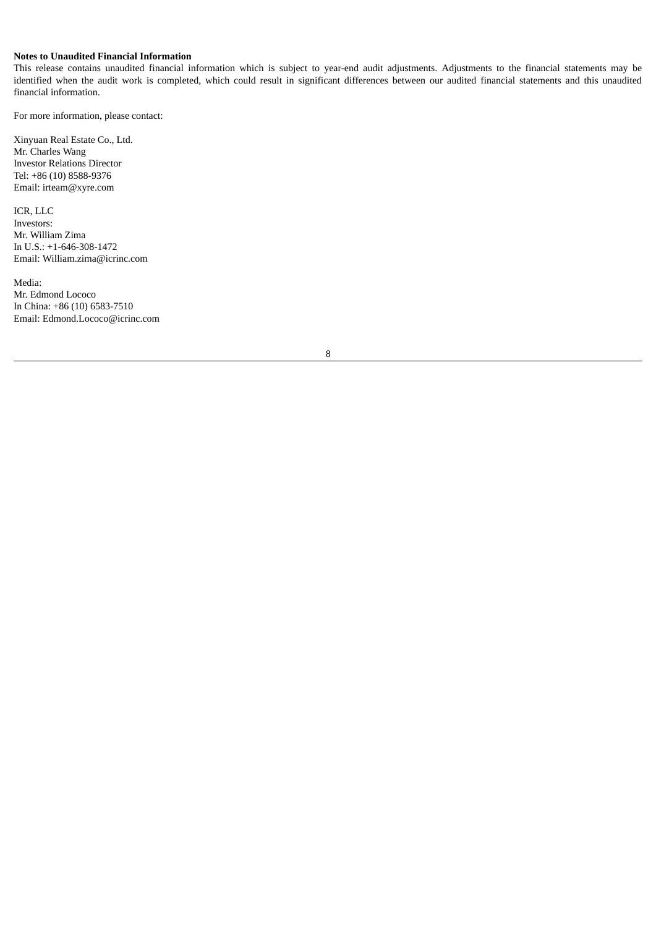### **Notes to Unaudited Financial Information**

This release contains unaudited financial information which is subject to year-end audit adjustments. Adjustments to the financial statements may be identified when the audit work is completed, which could result in significant differences between our audited financial statements and this unaudited financial information.

For more information, please contact:

Xinyuan Real Estate Co., Ltd. Mr. Charles Wang Investor Relations Director Tel: +86 (10) 8588-9376 Email: irteam@xyre.com

ICR, LLC Investors: Mr. William Zima In U.S.: +1-646-308-1472 Email: William.zima@icrinc.com

Media: Mr. Edmond Lococo In China: +86 (10) 6583-7510 Email: Edmond.Lococo@icrinc.com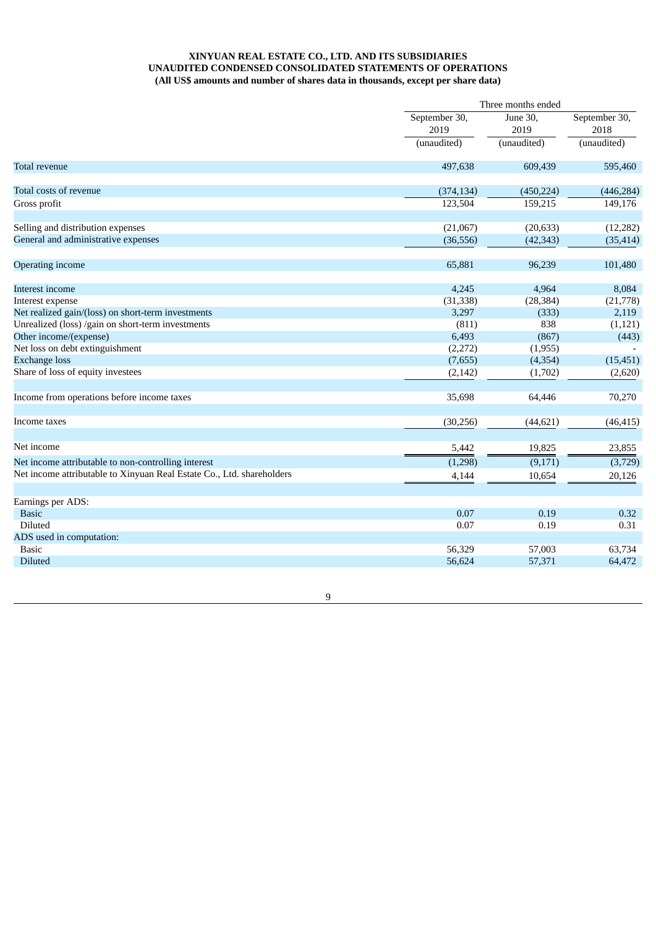### **XINYUAN REAL ESTATE CO., LTD. AND ITS SUBSIDIARIES UNAUDITED CONDENSED CONSOLIDATED STATEMENTS OF OPERATIONS (All US\$ amounts and number of shares data in thousands, except per share data)**

|                                                                       |               | Three months ended              |                                      |  |  |
|-----------------------------------------------------------------------|---------------|---------------------------------|--------------------------------------|--|--|
|                                                                       | September 30, | June 30.<br>2019<br>(unaudited) | September 30,<br>2018<br>(unaudited) |  |  |
|                                                                       | 2019          |                                 |                                      |  |  |
|                                                                       | (unaudited)   |                                 |                                      |  |  |
| <b>Total revenue</b>                                                  | 497,638       | 609,439                         | 595,460                              |  |  |
| Total costs of revenue                                                | (374, 134)    | (450, 224)                      | (446, 284)                           |  |  |
| Gross profit                                                          | 123,504       | 159,215                         | 149,176                              |  |  |
| Selling and distribution expenses                                     | (21,067)      | (20, 633)                       | (12, 282)                            |  |  |
| General and administrative expenses                                   | (36, 556)     | (42, 343)                       | (35, 414)                            |  |  |
| Operating income                                                      | 65,881        | 96,239                          | 101,480                              |  |  |
| Interest income                                                       | 4,245         | 4,964                           | 8,084                                |  |  |
| Interest expense                                                      | (31, 338)     | (28, 384)                       | (21,778)                             |  |  |
| Net realized gain/(loss) on short-term investments                    | 3,297         | (333)                           | 2,119                                |  |  |
| Unrealized (loss) /gain on short-term investments                     | (811)         | 838                             | (1, 121)                             |  |  |
| Other income/(expense)                                                | 6,493         | (867)                           | (443)                                |  |  |
| Net loss on debt extinguishment                                       | (2,272)       | (1,955)                         |                                      |  |  |
| <b>Exchange loss</b>                                                  | (7,655)       | (4, 354)                        | (15, 451)                            |  |  |
| Share of loss of equity investees                                     | (2, 142)      | (1,702)                         | (2,620)                              |  |  |
| Income from operations before income taxes                            | 35,698        | 64,446                          | 70,270                               |  |  |
| Income taxes                                                          | (30, 256)     | (44, 621)                       | (46, 415)                            |  |  |
| Net income                                                            | 5,442         | 19,825                          | 23,855                               |  |  |
| Net income attributable to non-controlling interest                   | (1,298)       | (9,171)                         | (3,729)                              |  |  |
| Net income attributable to Xinyuan Real Estate Co., Ltd. shareholders | 4,144         | 10,654                          | 20,126                               |  |  |
| Earnings per ADS:                                                     |               |                                 |                                      |  |  |
| <b>Basic</b>                                                          | 0.07          | 0.19                            | 0.32                                 |  |  |
| Diluted                                                               | 0.07          | 0.19                            | 0.31                                 |  |  |
| ADS used in computation:                                              |               |                                 |                                      |  |  |
| <b>Basic</b>                                                          | 56,329        | 57,003                          | 63,734                               |  |  |
| Diluted                                                               | 56,624        | 57,371                          | 64,472                               |  |  |
|                                                                       |               |                                 |                                      |  |  |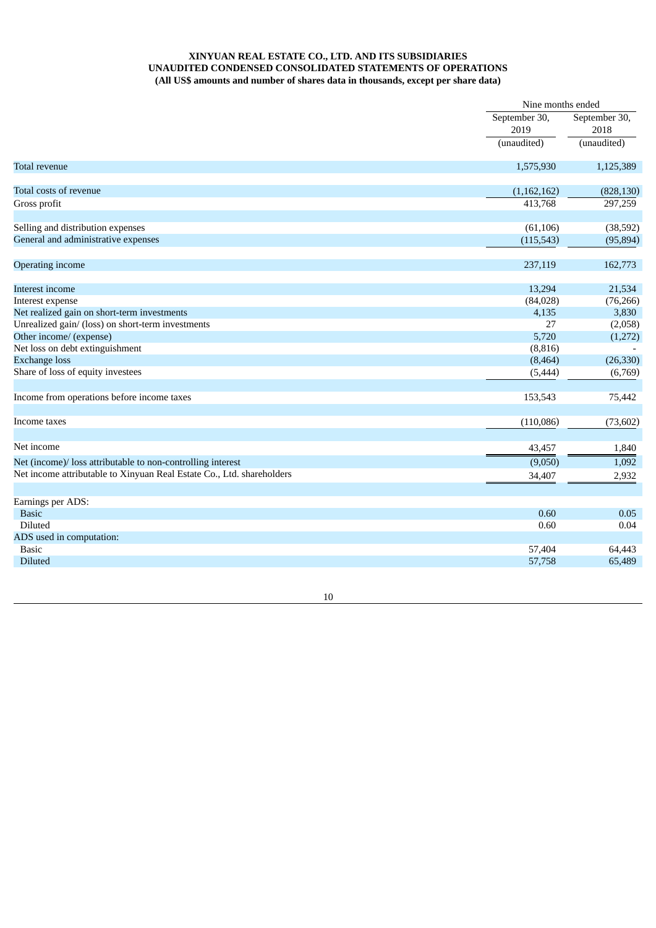### **XINYUAN REAL ESTATE CO., LTD. AND ITS SUBSIDIARIES UNAUDITED CONDENSED CONSOLIDATED STATEMENTS OF OPERATIONS (All US\$ amounts and number of shares data in thousands, except per share data)**

|                                                                       | Nine months ended |                                      |
|-----------------------------------------------------------------------|-------------------|--------------------------------------|
|                                                                       | September 30,     | September 30,<br>2018<br>(unaudited) |
|                                                                       | 2019              |                                      |
|                                                                       | (unaudited)       |                                      |
| <b>Total revenue</b>                                                  | 1,575,930         | 1,125,389                            |
| Total costs of revenue                                                | (1,162,162)       | (828, 130)                           |
| Gross profit                                                          | 413,768           | 297,259                              |
| Selling and distribution expenses                                     | (61, 106)         | (38, 592)                            |
| General and administrative expenses                                   | (115, 543)        | (95, 894)                            |
| Operating income                                                      | 237,119           | 162,773                              |
| Interest income                                                       | 13,294            | 21,534                               |
| Interest expense                                                      | (84,028)          | (76, 266)                            |
| Net realized gain on short-term investments                           | 4,135             | 3,830                                |
| Unrealized gain/ (loss) on short-term investments                     | 27                | (2,058)                              |
| Other income/ (expense)                                               | 5,720             | (1,272)                              |
| Net loss on debt extinguishment                                       | (8, 816)          |                                      |
| <b>Exchange loss</b>                                                  | (8, 464)          | (26, 330)                            |
| Share of loss of equity investees                                     | (5, 444)          | (6,769)                              |
| Income from operations before income taxes                            | 153,543           | 75,442                               |
| Income taxes                                                          | (110,086)         | (73, 602)                            |
| Net income                                                            | 43,457            | 1,840                                |
| Net (income)/ loss attributable to non-controlling interest           | (9,050)           | 1,092                                |
| Net income attributable to Xinyuan Real Estate Co., Ltd. shareholders | 34,407            | 2,932                                |
| Earnings per ADS:                                                     |                   |                                      |
| <b>Basic</b>                                                          | 0.60              | 0.05                                 |
| Diluted                                                               | 0.60              | 0.04                                 |
| ADS used in computation:                                              |                   |                                      |
| <b>Basic</b>                                                          | 57,404            | 64,443                               |
| <b>Diluted</b>                                                        | 57,758            | 65,489                               |
|                                                                       |                   |                                      |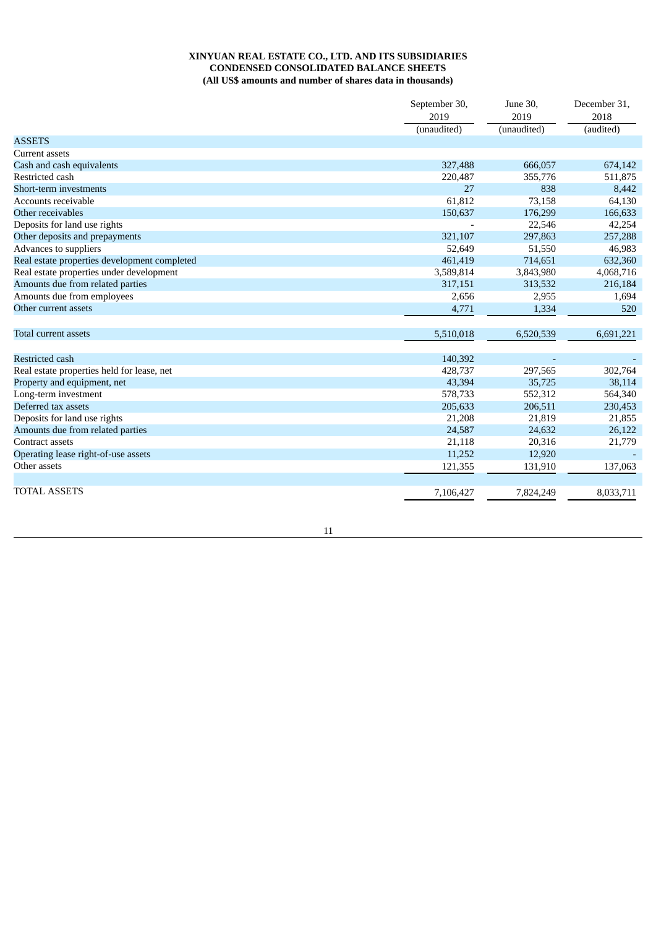### **XINYUAN REAL ESTATE CO., LTD. AND ITS SUBSIDIARIES CONDENSED CONSOLIDATED BALANCE SHEETS (All US\$ amounts and number of shares data in thousands)**

|                                              | September 30,<br>2019<br>(unaudited) | June 30.<br>2019<br>(unaudited) | December 31,<br>2018<br>(audited) |
|----------------------------------------------|--------------------------------------|---------------------------------|-----------------------------------|
| <b>ASSETS</b>                                |                                      |                                 |                                   |
| Current assets                               |                                      |                                 |                                   |
| Cash and cash equivalents                    | 327,488                              | 666,057                         | 674,142                           |
| Restricted cash                              | 220,487                              | 355,776                         | 511,875                           |
| Short-term investments                       | 27                                   | 838                             | 8,442                             |
| Accounts receivable                          | 61,812                               | 73,158                          | 64,130                            |
| Other receivables                            | 150,637                              | 176,299                         | 166,633                           |
| Deposits for land use rights                 |                                      | 22,546                          | 42,254                            |
| Other deposits and prepayments               | 321,107                              | 297,863                         | 257,288                           |
| Advances to suppliers                        | 52,649                               | 51,550                          | 46,983                            |
| Real estate properties development completed | 461,419                              | 714,651                         | 632,360                           |
| Real estate properties under development     | 3,589,814                            | 3,843,980                       | 4,068,716                         |
| Amounts due from related parties             | 317,151                              | 313,532                         | 216,184                           |
| Amounts due from employees                   | 2,656                                | 2,955                           | 1,694                             |
| Other current assets                         | 4,771                                | 1,334                           | 520                               |
| Total current assets                         | 5,510,018                            | 6,520,539                       | 6,691,221                         |
| <b>Restricted cash</b>                       | 140,392                              |                                 |                                   |
| Real estate properties held for lease, net   | 428,737                              | 297,565                         | 302,764                           |
| Property and equipment, net                  | 43,394                               | 35,725                          | 38,114                            |
| Long-term investment                         | 578,733                              | 552,312                         | 564,340                           |
| Deferred tax assets                          | 205,633                              | 206,511                         | 230,453                           |
| Deposits for land use rights                 | 21,208                               | 21,819                          | 21,855                            |
| Amounts due from related parties             | 24,587                               | 24,632                          | 26,122                            |
| Contract assets                              | 21,118                               | 20,316                          | 21,779                            |
| Operating lease right-of-use assets          | 11,252                               | 12,920                          |                                   |
| Other assets                                 | 121,355                              | 131,910                         | 137,063                           |
| <b>TOTAL ASSETS</b>                          | 7,106,427                            | 7,824,249                       | 8,033,711                         |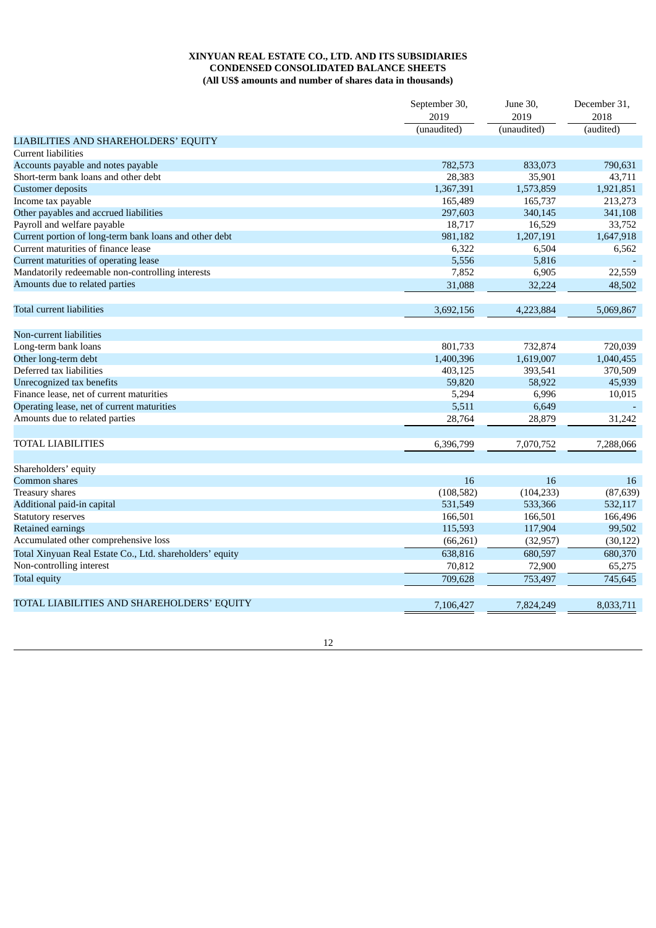### **XINYUAN REAL ESTATE CO., LTD. AND ITS SUBSIDIARIES CONDENSED CONSOLIDATED BALANCE SHEETS (All US\$ amounts and number of shares data in thousands)**

|                                                          | September 30,<br>2019 | June 30,<br>2019 | December 31,<br>2018 |
|----------------------------------------------------------|-----------------------|------------------|----------------------|
|                                                          | (unaudited)           | (unaudited)      | (audited)            |
| LIABILITIES AND SHAREHOLDERS' EQUITY                     |                       |                  |                      |
| <b>Current liabilities</b>                               |                       |                  |                      |
| Accounts payable and notes payable                       | 782,573               | 833,073          | 790,631              |
| Short-term bank loans and other debt                     | 28,383                | 35,901           | 43,711               |
| <b>Customer deposits</b>                                 | 1,367,391             | 1,573,859        | 1,921,851            |
| Income tax payable                                       | 165,489               | 165,737          | 213,273              |
| Other payables and accrued liabilities                   | 297,603               | 340,145          | 341,108              |
| Payroll and welfare payable                              | 18,717                | 16,529           | 33,752               |
| Current portion of long-term bank loans and other debt   | 981,182               | 1,207,191        | 1,647,918            |
| Current maturities of finance lease                      | 6,322                 | 6,504            | 6,562                |
| Current maturities of operating lease                    | 5,556                 | 5,816            |                      |
| Mandatorily redeemable non-controlling interests         | 7,852                 | 6,905            | 22,559               |
| Amounts due to related parties                           | 31,088                | 32,224           | 48,502               |
| Total current liabilities                                | 3,692,156             | 4,223,884        | 5,069,867            |
| Non-current liabilities                                  |                       |                  |                      |
| Long-term bank loans                                     | 801,733               | 732,874          | 720,039              |
| Other long-term debt                                     | 1,400,396             | 1,619,007        | 1,040,455            |
| Deferred tax liabilities                                 | 403,125               | 393,541          | 370,509              |
| Unrecognized tax benefits                                | 59,820                | 58,922           | 45,939               |
| Finance lease, net of current maturities                 | 5,294                 | 6,996            | 10,015               |
| Operating lease, net of current maturities               | 5,511                 | 6,649            |                      |
| Amounts due to related parties                           | 28,764                | 28,879           | 31,242               |
| TOTAL LIABILITIES                                        | 6,396,799             | 7,070,752        | 7,288,066            |
|                                                          |                       |                  |                      |
| Shareholders' equity                                     |                       |                  |                      |
| Common shares                                            | 16                    | 16               | 16                   |
| Treasury shares                                          | (108, 582)            | (104, 233)       | (87, 639)            |
| Additional paid-in capital                               | 531,549               | 533,366          | 532,117              |
| <b>Statutory reserves</b>                                | 166,501               | 166,501          | 166,496              |
| Retained earnings                                        | 115,593               | 117,904          | 99,502               |
| Accumulated other comprehensive loss                     | (66, 261)             | (32, 957)        | (30, 122)            |
| Total Xinyuan Real Estate Co., Ltd. shareholders' equity | 638,816               | 680,597          | 680,370              |
| Non-controlling interest                                 | 70,812                | 72,900           | 65,275               |
| <b>Total equity</b>                                      | 709,628               | 753,497          | 745,645              |
| TOTAL LIABILITIES AND SHAREHOLDERS' EQUITY               | 7.106.427             | 7,824,249        | 8,033,711            |
|                                                          |                       |                  |                      |